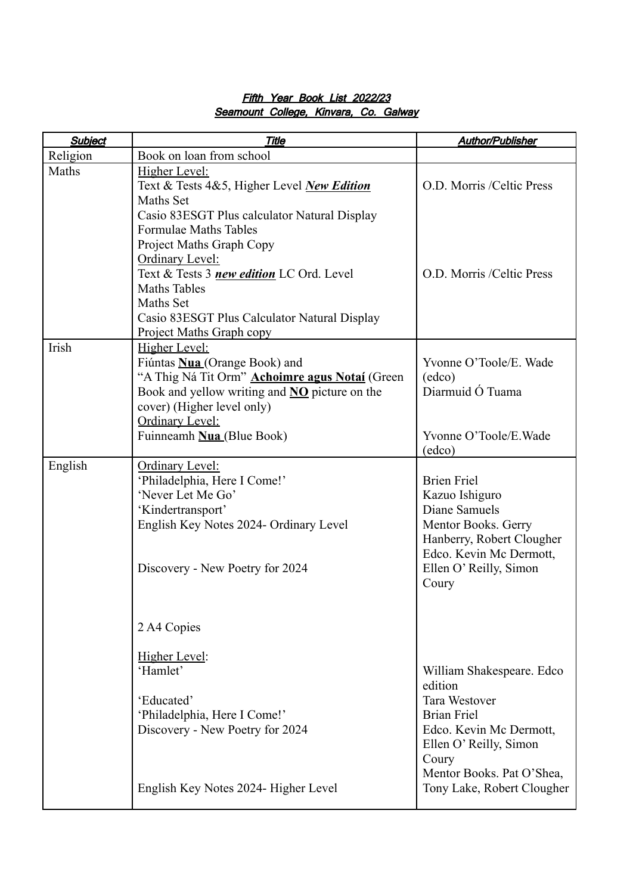| <b>Subject</b> | <b>Title</b>                                                                                                                                                                                                                            | <b>Author/Publisher</b>                                                                                                                                                       |
|----------------|-----------------------------------------------------------------------------------------------------------------------------------------------------------------------------------------------------------------------------------------|-------------------------------------------------------------------------------------------------------------------------------------------------------------------------------|
| Religion       | Book on loan from school                                                                                                                                                                                                                |                                                                                                                                                                               |
| Maths          | Higher Level:<br>Text & Tests 4&5, Higher Level New Edition<br>Maths Set<br>Casio 83ESGT Plus calculator Natural Display                                                                                                                | O.D. Morris /Celtic Press                                                                                                                                                     |
|                | <b>Formulae Maths Tables</b><br>Project Maths Graph Copy<br>Ordinary Level:<br>Text & Tests 3 new edition LC Ord. Level<br><b>Maths Tables</b><br>Maths Set<br>Casio 83ESGT Plus Calculator Natural Display<br>Project Maths Graph copy | O.D. Morris /Celtic Press                                                                                                                                                     |
| Irish          | Higher Level:<br>Fiúntas <b>Nua</b> (Orange Book) and<br>"A Thig Ná Tit Orm" Achoimre agus Notaí (Green<br>Book and yellow writing and <b>NO</b> picture on the<br>cover) (Higher level only)<br>Ordinary Level:                        | Yvonne O'Toole/E. Wade<br>$\text{(edco)}$<br>Diarmuid Ó Tuama                                                                                                                 |
|                | Fuinneamh Nua (Blue Book)                                                                                                                                                                                                               | Yvonne O'Toole/E.Wade<br>(edco)                                                                                                                                               |
| English        | Ordinary Level:<br>'Philadelphia, Here I Come!'<br>'Never Let Me Go'<br>'Kindertransport'<br>English Key Notes 2024- Ordinary Level<br>Discovery - New Poetry for 2024                                                                  | <b>Brien Friel</b><br>Kazuo Ishiguro<br>Diane Samuels<br>Mentor Books. Gerry<br>Hanberry, Robert Clougher<br>Edco. Kevin Mc Dermott,<br>Ellen O' Reilly, Simon<br>Coury       |
|                | 2 A4 Copies                                                                                                                                                                                                                             |                                                                                                                                                                               |
|                | Higher Level:<br>'Hamlet'<br>'Educated'<br>'Philadelphia, Here I Come!'<br>Discovery - New Poetry for 2024                                                                                                                              | William Shakespeare. Edco<br>edition<br><b>Tara Westover</b><br><b>Brian Friel</b><br>Edco. Kevin Mc Dermott,<br>Ellen O' Reilly, Simon<br>Coury<br>Mentor Books. Pat O'Shea, |
|                | English Key Notes 2024- Higher Level                                                                                                                                                                                                    | Tony Lake, Robert Clougher                                                                                                                                                    |

## Fifth Year Book List 2022/23 Seamount College, Kinvara, Co. Galway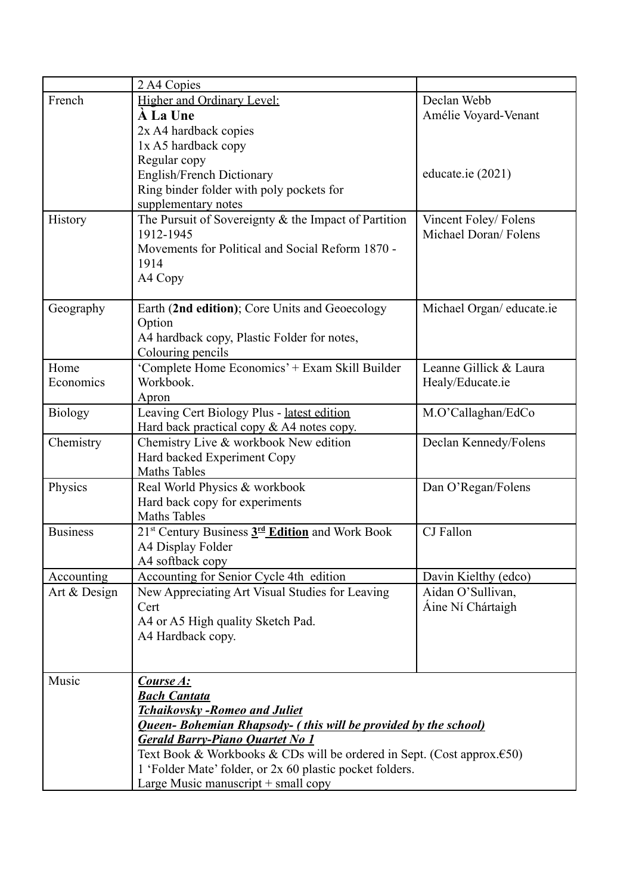|                 | 2 A4 Copies                                                                       |                           |  |
|-----------------|-----------------------------------------------------------------------------------|---------------------------|--|
| French          | Higher and Ordinary Level:                                                        | Declan Webb               |  |
|                 | <b>A La Une</b>                                                                   | Amélie Voyard-Venant      |  |
|                 | 2x A4 hardback copies                                                             |                           |  |
|                 | 1x A5 hardback copy                                                               |                           |  |
|                 | Regular copy                                                                      |                           |  |
|                 | English/French Dictionary                                                         | educate.ie (2021)         |  |
|                 | Ring binder folder with poly pockets for                                          |                           |  |
|                 | supplementary notes                                                               |                           |  |
| History         | The Pursuit of Sovereignty $&$ the Impact of Partition                            | Vincent Foley/Folens      |  |
|                 | 1912-1945                                                                         | Michael Doran/Folens      |  |
|                 | Movements for Political and Social Reform 1870 -                                  |                           |  |
|                 | 1914                                                                              |                           |  |
|                 | A4 Copy                                                                           |                           |  |
|                 |                                                                                   |                           |  |
| Geography       | Earth (2nd edition); Core Units and Geoecology                                    | Michael Organ/ educate.ie |  |
|                 | Option                                                                            |                           |  |
|                 | A4 hardback copy, Plastic Folder for notes,                                       |                           |  |
|                 | Colouring pencils                                                                 |                           |  |
| Home            | 'Complete Home Economics' + Exam Skill Builder                                    | Leanne Gillick & Laura    |  |
| Economics       | Workbook.                                                                         | Healy/Educate.ie          |  |
|                 | Apron                                                                             |                           |  |
| <b>Biology</b>  | Leaving Cert Biology Plus - latest edition                                        | M.O'Callaghan/EdCo        |  |
|                 | Hard back practical copy $& A4$ notes copy.                                       |                           |  |
| Chemistry       | Chemistry Live & workbook New edition                                             | Declan Kennedy/Folens     |  |
|                 | Hard backed Experiment Copy                                                       |                           |  |
|                 | <b>Maths Tables</b>                                                               |                           |  |
| Physics         | Real World Physics & workbook                                                     | Dan O'Regan/Folens        |  |
|                 | Hard back copy for experiments                                                    |                           |  |
|                 | <b>Maths Tables</b>                                                               |                           |  |
| <b>Business</b> | 21 <sup>st</sup> Century Business 3 <sup>rd</sup> Edition and Work Book           | CJ Fallon                 |  |
|                 | A4 Display Folder                                                                 |                           |  |
|                 | A4 softback copy                                                                  |                           |  |
| Accounting      | Accounting for Senior Cycle 4th edition                                           | Davin Kielthy (edco)      |  |
| Art & Design    | New Appreciating Art Visual Studies for Leaving                                   | Aidan O'Sullivan,         |  |
|                 | Cert                                                                              | Áine Ní Chártaigh         |  |
|                 | A4 or A5 High quality Sketch Pad.                                                 |                           |  |
|                 | A4 Hardback copy.                                                                 |                           |  |
|                 |                                                                                   |                           |  |
|                 |                                                                                   |                           |  |
| Music           | Course A:                                                                         |                           |  |
|                 | <b>Bach Cantata</b>                                                               |                           |  |
|                 | Tchaikovsky -Romeo and Juliet                                                     |                           |  |
|                 | <b>Queen-Bohemian Rhapsody- (this will be provided by the school)</b>             |                           |  |
|                 | <b>Gerald Barry-Piano Quartet No 1</b>                                            |                           |  |
|                 | Text Book & Workbooks & CDs will be ordered in Sept. (Cost approx. $\epsilon$ 50) |                           |  |
|                 | 1 'Folder Mate' folder, or 2x 60 plastic pocket folders.                          |                           |  |
|                 | Large Music manuscript $+$ small copy                                             |                           |  |